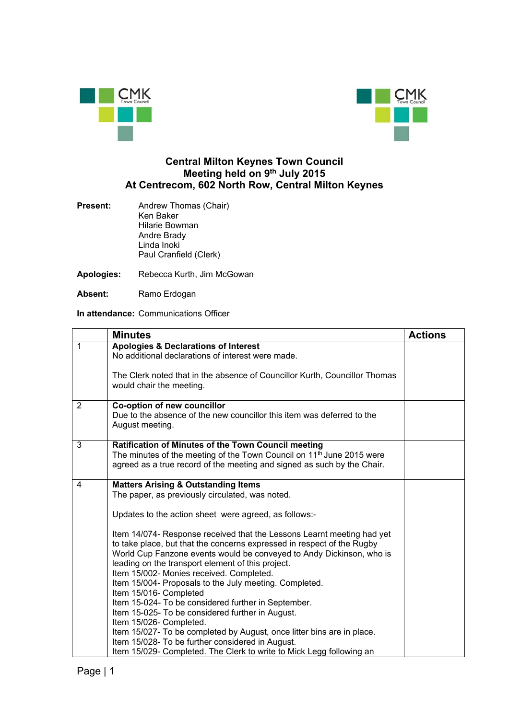



## **Central Milton Keynes Town Council Meeting held on 9th July 2015 At Centrecom, 602 North Row, Central Milton Keynes**

- **Present:** Andrew Thomas (Chair) Ken Baker Hilarie Bowman Andre Brady Linda Inoki Paul Cranfield (Clerk)
- **Apologies:** Rebecca Kurth, Jim McGowan
- **Absent:** Ramo Erdogan

**In attendance:** Communications Officer

|                | <b>Minutes</b>                                                                                                                                                                                                                                                                                                                                                                                                                                                                                                                                                                                                                                                                                                                                                                                                                                  | <b>Actions</b> |
|----------------|-------------------------------------------------------------------------------------------------------------------------------------------------------------------------------------------------------------------------------------------------------------------------------------------------------------------------------------------------------------------------------------------------------------------------------------------------------------------------------------------------------------------------------------------------------------------------------------------------------------------------------------------------------------------------------------------------------------------------------------------------------------------------------------------------------------------------------------------------|----------------|
| $\mathbf{1}$   | <b>Apologies &amp; Declarations of Interest</b><br>No additional declarations of interest were made.                                                                                                                                                                                                                                                                                                                                                                                                                                                                                                                                                                                                                                                                                                                                            |                |
|                | The Clerk noted that in the absence of Councillor Kurth, Councillor Thomas<br>would chair the meeting.                                                                                                                                                                                                                                                                                                                                                                                                                                                                                                                                                                                                                                                                                                                                          |                |
| $\overline{2}$ | Co-option of new councillor<br>Due to the absence of the new councillor this item was deferred to the<br>August meeting.                                                                                                                                                                                                                                                                                                                                                                                                                                                                                                                                                                                                                                                                                                                        |                |
| 3              | Ratification of Minutes of the Town Council meeting<br>The minutes of the meeting of the Town Council on 11 <sup>th</sup> June 2015 were<br>agreed as a true record of the meeting and signed as such by the Chair.                                                                                                                                                                                                                                                                                                                                                                                                                                                                                                                                                                                                                             |                |
| 4              | <b>Matters Arising &amp; Outstanding Items</b><br>The paper, as previously circulated, was noted.<br>Updates to the action sheet were agreed, as follows:-<br>Item 14/074- Response received that the Lessons Learnt meeting had yet<br>to take place, but that the concerns expressed in respect of the Rugby<br>World Cup Fanzone events would be conveyed to Andy Dickinson, who is<br>leading on the transport element of this project.<br>Item 15/002- Monies received. Completed.<br>Item 15/004- Proposals to the July meeting. Completed.<br>Item 15/016- Completed<br>Item 15-024- To be considered further in September.<br>Item 15-025- To be considered further in August.<br>Item 15/026- Completed.<br>Item 15/027- To be completed by August, once litter bins are in place.<br>Item 15/028- To be further considered in August. |                |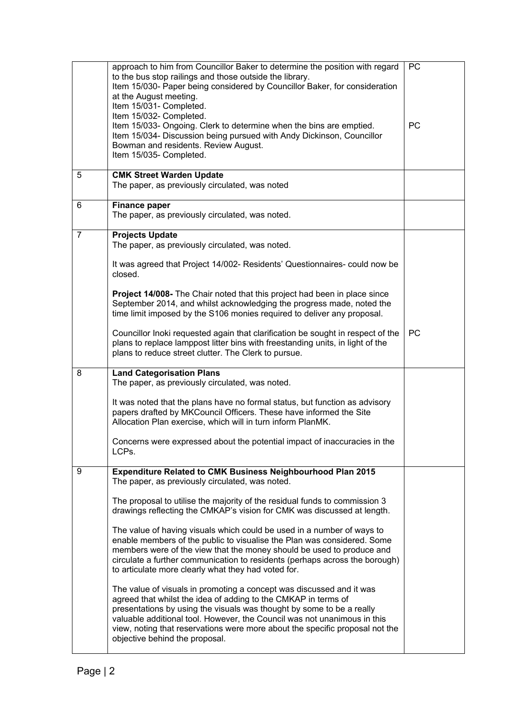|                | approach to him from Councillor Baker to determine the position with regard<br>to the bus stop railings and those outside the library.<br>Item 15/030- Paper being considered by Councillor Baker, for consideration<br>at the August meeting.<br>Item 15/031- Completed.<br>Item 15/032- Completed.<br>Item 15/033- Ongoing. Clerk to determine when the bins are emptied.<br>Item 15/034- Discussion being pursued with Andy Dickinson, Councillor<br>Bowman and residents. Review August.<br>Item 15/035- Completed.                                                                                                                                                                                                                                                                                                                                                                                                                                                                                                                                             | <b>PC</b><br>PC |
|----------------|---------------------------------------------------------------------------------------------------------------------------------------------------------------------------------------------------------------------------------------------------------------------------------------------------------------------------------------------------------------------------------------------------------------------------------------------------------------------------------------------------------------------------------------------------------------------------------------------------------------------------------------------------------------------------------------------------------------------------------------------------------------------------------------------------------------------------------------------------------------------------------------------------------------------------------------------------------------------------------------------------------------------------------------------------------------------|-----------------|
| 5              | <b>CMK Street Warden Update</b><br>The paper, as previously circulated, was noted                                                                                                                                                                                                                                                                                                                                                                                                                                                                                                                                                                                                                                                                                                                                                                                                                                                                                                                                                                                   |                 |
| 6              | <b>Finance paper</b><br>The paper, as previously circulated, was noted.                                                                                                                                                                                                                                                                                                                                                                                                                                                                                                                                                                                                                                                                                                                                                                                                                                                                                                                                                                                             |                 |
| $\overline{7}$ | <b>Projects Update</b><br>The paper, as previously circulated, was noted.<br>It was agreed that Project 14/002- Residents' Questionnaires- could now be<br>closed.<br><b>Project 14/008-</b> The Chair noted that this project had been in place since<br>September 2014, and whilst acknowledging the progress made, noted the<br>time limit imposed by the S106 monies required to deliver any proposal.<br>Councillor Inoki requested again that clarification be sought in respect of the<br>plans to replace lamppost litter bins with freestanding units, in light of the<br>plans to reduce street clutter. The Clerk to pursue.                                                                                                                                                                                                                                                                                                                                                                                                                             | <b>PC</b>       |
| 8              | <b>Land Categorisation Plans</b><br>The paper, as previously circulated, was noted.<br>It was noted that the plans have no formal status, but function as advisory<br>papers drafted by MKCouncil Officers. These have informed the Site<br>Allocation Plan exercise, which will in turn inform PlanMK.<br>Concerns were expressed about the potential impact of inaccuracies in the<br>LCPs.                                                                                                                                                                                                                                                                                                                                                                                                                                                                                                                                                                                                                                                                       |                 |
| 9              | <b>Expenditure Related to CMK Business Neighbourhood Plan 2015</b><br>The paper, as previously circulated, was noted.<br>The proposal to utilise the majority of the residual funds to commission 3<br>drawings reflecting the CMKAP's vision for CMK was discussed at length.<br>The value of having visuals which could be used in a number of ways to<br>enable members of the public to visualise the Plan was considered. Some<br>members were of the view that the money should be used to produce and<br>circulate a further communication to residents (perhaps across the borough)<br>to articulate more clearly what they had voted for.<br>The value of visuals in promoting a concept was discussed and it was<br>agreed that whilst the idea of adding to the CMKAP in terms of<br>presentations by using the visuals was thought by some to be a really<br>valuable additional tool. However, the Council was not unanimous in this<br>view, noting that reservations were more about the specific proposal not the<br>objective behind the proposal. |                 |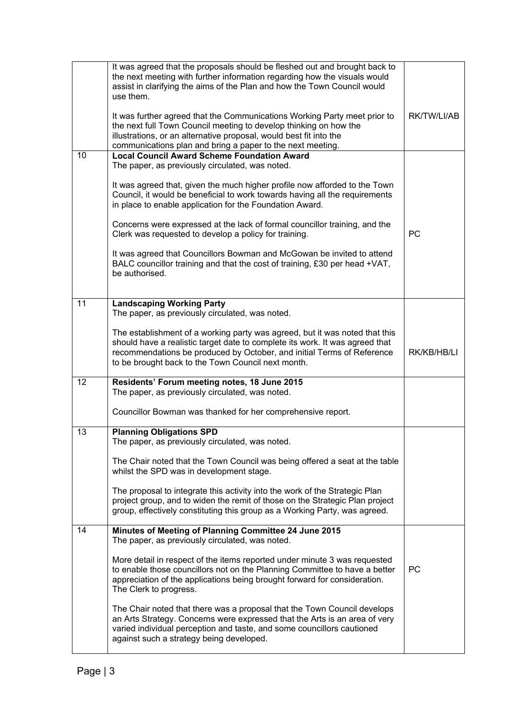|    | It was agreed that the proposals should be fleshed out and brought back to<br>the next meeting with further information regarding how the visuals would<br>assist in clarifying the aims of the Plan and how the Town Council would<br>use them.<br>It was further agreed that the Communications Working Party meet prior to<br>the next full Town Council meeting to develop thinking on how the<br>illustrations, or an alternative proposal, would best fit into the<br>communications plan and bring a paper to the next meeting. | RK/TW/LI/AB |
|----|----------------------------------------------------------------------------------------------------------------------------------------------------------------------------------------------------------------------------------------------------------------------------------------------------------------------------------------------------------------------------------------------------------------------------------------------------------------------------------------------------------------------------------------|-------------|
| 10 | <b>Local Council Award Scheme Foundation Award</b><br>The paper, as previously circulated, was noted.                                                                                                                                                                                                                                                                                                                                                                                                                                  |             |
|    | It was agreed that, given the much higher profile now afforded to the Town<br>Council, it would be beneficial to work towards having all the requirements<br>in place to enable application for the Foundation Award.                                                                                                                                                                                                                                                                                                                  |             |
|    | Concerns were expressed at the lack of formal councillor training, and the<br>Clerk was requested to develop a policy for training.                                                                                                                                                                                                                                                                                                                                                                                                    | PC          |
|    | It was agreed that Councillors Bowman and McGowan be invited to attend<br>BALC councillor training and that the cost of training, £30 per head +VAT,<br>be authorised.                                                                                                                                                                                                                                                                                                                                                                 |             |
| 11 | <b>Landscaping Working Party</b>                                                                                                                                                                                                                                                                                                                                                                                                                                                                                                       |             |
|    | The paper, as previously circulated, was noted.<br>The establishment of a working party was agreed, but it was noted that this<br>should have a realistic target date to complete its work. It was agreed that<br>recommendations be produced by October, and initial Terms of Reference<br>to be brought back to the Town Council next month.                                                                                                                                                                                         | RK/KB/HB/LI |
| 12 | Residents' Forum meeting notes, 18 June 2015<br>The paper, as previously circulated, was noted.                                                                                                                                                                                                                                                                                                                                                                                                                                        |             |
|    | Councillor Bowman was thanked for her comprehensive report.                                                                                                                                                                                                                                                                                                                                                                                                                                                                            |             |
| 13 | <b>Planning Obligations SPD</b><br>The paper, as previously circulated, was noted                                                                                                                                                                                                                                                                                                                                                                                                                                                      |             |
|    | The Chair noted that the Town Council was being offered a seat at the table<br>whilst the SPD was in development stage.                                                                                                                                                                                                                                                                                                                                                                                                                |             |
|    | The proposal to integrate this activity into the work of the Strategic Plan<br>project group, and to widen the remit of those on the Strategic Plan project<br>group, effectively constituting this group as a Working Party, was agreed.                                                                                                                                                                                                                                                                                              |             |
| 14 | Minutes of Meeting of Planning Committee 24 June 2015<br>The paper, as previously circulated, was noted.                                                                                                                                                                                                                                                                                                                                                                                                                               |             |
|    | More detail in respect of the items reported under minute 3 was requested<br>to enable those councillors not on the Planning Committee to have a better<br>appreciation of the applications being brought forward for consideration.<br>The Clerk to progress.                                                                                                                                                                                                                                                                         | <b>PC</b>   |
|    | The Chair noted that there was a proposal that the Town Council develops<br>an Arts Strategy. Concerns were expressed that the Arts is an area of very<br>varied individual perception and taste, and some councillors cautioned<br>against such a strategy being developed.                                                                                                                                                                                                                                                           |             |